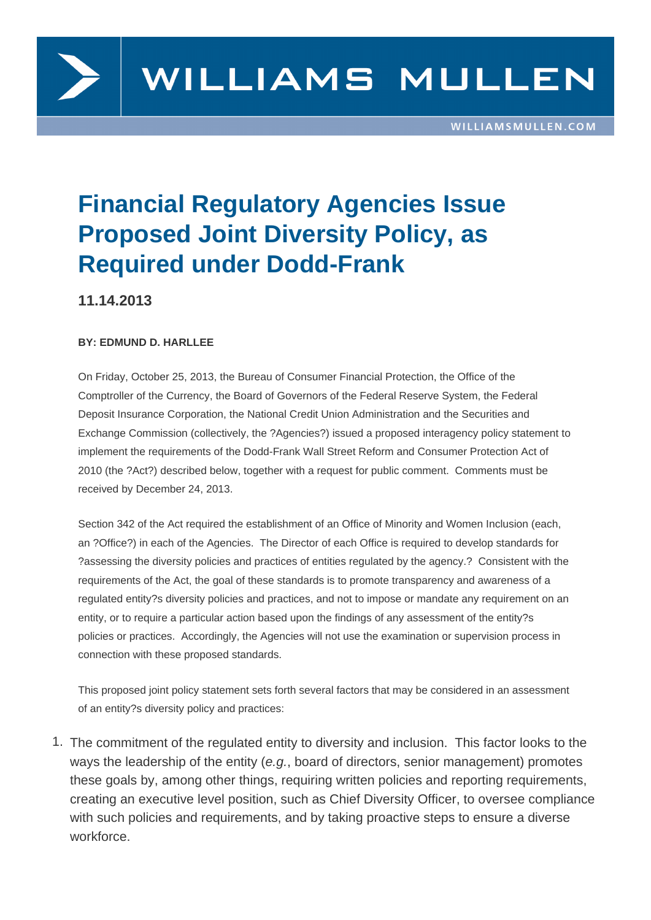

# **Financial Regulatory Agencies Issue Proposed Joint Diversity Policy, as Required under Dodd-Frank**

### **11.14.2013**

#### **BY: EDMUND D. HARLLEE**

On Friday, October 25, 2013, the Bureau of Consumer Financial Protection, the Office of the Comptroller of the Currency, the Board of Governors of the Federal Reserve System, the Federal Deposit Insurance Corporation, the National Credit Union Administration and the Securities and Exchange Commission (collectively, the ?Agencies?) issued a proposed interagency policy statement to implement the requirements of the Dodd-Frank Wall Street Reform and Consumer Protection Act of 2010 (the ?Act?) described below, together with a request for public comment. Comments must be received by December 24, 2013.

Section 342 of the Act required the establishment of an Office of Minority and Women Inclusion (each, an ?Office?) in each of the Agencies. The Director of each Office is required to develop standards for ?assessing the diversity policies and practices of entities regulated by the agency.? Consistent with the requirements of the Act, the goal of these standards is to promote transparency and awareness of a regulated entity?s diversity policies and practices, and not to impose or mandate any requirement on an entity, or to require a particular action based upon the findings of any assessment of the entity?s policies or practices. Accordingly, the Agencies will not use the examination or supervision process in connection with these proposed standards.

This proposed joint policy statement sets forth several factors that may be considered in an assessment of an entity?s diversity policy and practices:

1. The commitment of the regulated entity to diversity and inclusion. This factor looks to the ways the leadership of the entity (e.g., board of directors, senior management) promotes these goals by, among other things, requiring written policies and reporting requirements, creating an executive level position, such as Chief Diversity Officer, to oversee compliance with such policies and requirements, and by taking proactive steps to ensure a diverse workforce.